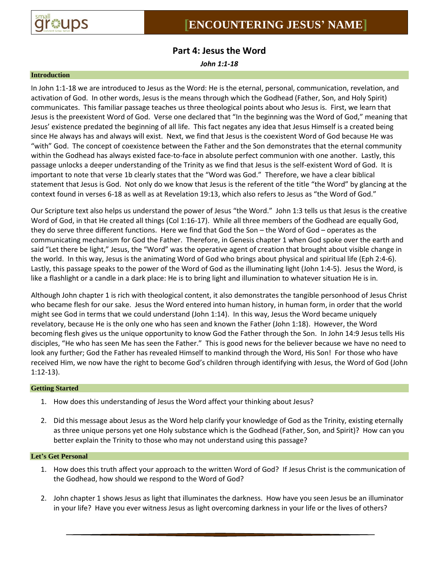

# **Part 4: Jesus the Word**

*John 1:1-18*

#### **Introduction**

In John 1:1-18 we are introduced to Jesus as the Word: He is the eternal, personal, communication, revelation, and activation of God. In other words, Jesus is the means through which the Godhead (Father, Son, and Holy Spirit) communicates. This familiar passage teaches us three theological points about who Jesus is. First, we learn that Jesus is the preexistent Word of God. Verse one declared that "In the beginning was the Word of God," meaning that Jesus' existence predated the beginning of all life. This fact negates any idea that Jesus Himself is a created being since He always has and always will exist. Next, we find that Jesus is the coexistent Word of God because He was "with" God. The concept of coexistence between the Father and the Son demonstrates that the eternal community within the Godhead has always existed face-to-face in absolute perfect communion with one another. Lastly, this passage unlocks a deeper understanding of the Trinity as we find that Jesus is the self-existent Word of God. It is important to note that verse 1b clearly states that the "Word was God." Therefore, we have a clear biblical statement that Jesus is God. Not only do we know that Jesus is the referent of the title "the Word" by glancing at the context found in verses 6-18 as well as at Revelation 19:13, which also refers to Jesus as "the Word of God."

Our Scripture text also helps us understand the power of Jesus "the Word." John 1:3 tells us that Jesus is the creative Word of God, in that He created all things (Col 1:16-17). While all three members of the Godhead are equally God, they do serve three different functions. Here we find that God the Son – the Word of God – operates as the communicating mechanism for God the Father. Therefore, in Genesis chapter 1 when God spoke over the earth and said "Let there be light," Jesus, the "Word" was the operative agent of creation that brought about visible change in the world. In this way, Jesus is the animating Word of God who brings about physical and spiritual life (Eph 2:4-6). Lastly, this passage speaks to the power of the Word of God as the illuminating light (John 1:4-5). Jesus the Word, is like a flashlight or a candle in a dark place: He is to bring light and illumination to whatever situation He is in.

Although John chapter 1 is rich with theological content, it also demonstrates the tangible personhood of Jesus Christ who became flesh for our sake. Jesus the Word entered into human history, in human form, in order that the world might see God in terms that we could understand (John 1:14). In this way, Jesus the Word became uniquely revelatory, because He is the only one who has seen and known the Father (John 1:18). However, the Word becoming flesh gives us the unique opportunity to know God the Father through the Son. In John 14:9 Jesus tells His disciples, "He who has seen Me has seen the Father." This is good news for the believer because we have no need to look any further; God the Father has revealed Himself to mankind through the Word, His Son! For those who have received Him, we now have the right to become God's children through identifying with Jesus, the Word of God (John 1:12-13).

## **Getting Started**

- 1. How does this understanding of Jesus the Word affect your thinking about Jesus?
- 2. Did this message about Jesus as the Word help clarify your knowledge of God as the Trinity, existing eternally as three unique persons yet one Holy substance which is the Godhead (Father, Son, and Spirit)? How can you better explain the Trinity to those who may not understand using this passage?

## **Let's Get Personal**

- 1. How does this truth affect your approach to the written Word of God? If Jesus Christ is the communication of the Godhead, how should we respond to the Word of God?
- 2. John chapter 1 shows Jesus as light that illuminates the darkness. How have you seen Jesus be an illuminator in your life? Have you ever witness Jesus as light overcoming darkness in your life or the lives of others?